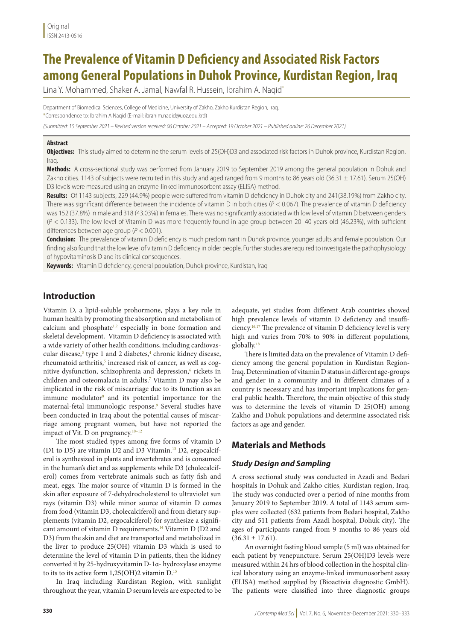# **The Prevalence of Vitamin D Deficiency and Associated Risk Factors among General Populations in Duhok Province, Kurdistan Region, Iraq**

Lina Y. Mohammed, Shaker A. Jamal, Nawfal R. Hussein, Ibrahim A. Naqid\*

Department of Biomedical Sciences, College of Medicine, University of Zakho, Zakho Kurdistan Region, Iraq. \*Correspondence to: Ibrahim A Naqid (E-mail: ibrahim.naqid@uoz.edu.krd)

*(Submitted: 10 September 2021 – Revised version received: 06 October 2021 – Accepted: 19 October 2021 – Published online: 26 December 2021)*

#### **Abstract**

**Objectives:** This study aimed to determine the serum levels of 25(OH)D3 and associated risk factors in Duhok province, Kurdistan Region, Iraq.

**Methods:** A cross-sectional study was performed from January 2019 to September 2019 among the general population in Dohuk and Zakho cities. 1143 of subjects were recruited in this study and aged ranged from 9 months to 86 years old (36.31 ± 17.61). Serum 25(OH) D3 levels were measured using an enzyme-linked immunosorbent assay (ELISA) method.

**Results:** Of 1143 subjects, 229 (44.9%) people were suffered from vitamin D deficiency in Duhok city and 241(38.19%) from Zakho city. There was significant difference between the incidence of vitamin D in both cities (*P* < 0.067). The prevalence of vitamin D deficiency was 152 (37.8%) in male and 318 (43.03%) in females. There was no significantly associated with low level of vitamin D between genders (*P* < 0.133). The low level of Vitamin D was more frequently found in age group between 20–40 years old (46.23%), with sufficient differences between age group (*P* < 0.001).

**Conclusion:** The prevalence of vitamin D deficiency is much predominant in Duhok province, younger adults and female population. Our finding also found that the low level of vitamin D deficiency in older people. Further studies are required to investigate the pathophysiology of hypovitaminosis D and its clinical consequences.

**Keywords:** Vitamin D deficiency, general population, Duhok province, Kurdistan, Iraq

# **Introduction**

Vitamin D, a lipid-soluble prohormone, plays a key role in human health by promoting the absorption and metabolism of calcium and phosphate<sup>1,2</sup> especially in bone formation and skeletal development. Vitamin D deficiency is associated with a wide variety of other health conditions, including cardiovascular disease,<sup>3</sup> type 1 and 2 diabetes,<sup>4</sup> chronic kidney disease, rheumatoid arthritis,<sup>5</sup> increased risk of cancer, as well as cognitive dysfunction, schizophrenia and depression,<sup>6</sup> rickets in children and osteomalacia in adults.7 Vitamin D may also be implicated in the risk of miscarriage due to its function as an immune modulator<sup>8</sup> and its potential importance for the maternal-fetal immunologic response.<sup>9</sup> Several studies have been conducted in Iraq about the potential causes of miscarriage among pregnant women, but have not reported the impact of Vit. D on pregnancy.<sup>10-12</sup>

The most studied types among five forms of vitamin D (D1 to D5) are vitamin D2 and D3 Vitamin.<sup>13</sup> D2, ergocalciferol is synthesized in plants and invertebrates and is consumed in the human's diet and as supplements while D3 (cholecalciferol) comes from vertebrate animals such as fatty fish and meat, eggs. The major source of vitamin D is formed in the skin after exposure of 7-dehydrocholesterol to ultraviolet sun rays (vitamin D3) while minor source of vitamin D comes from food (vitamin D3, cholecalciferol) and from dietary supplements (vitamin D2, ergocalciferol) for synthesize a significant amount of vitamin D requirements.14 Vitamin D (D2 and D3) from the skin and diet are transported and metabolized in the liver to produce 25(OH) vitamin D3 which is used to determine the level of vitamin D in patients, then the kidney converted it by 25-hydroxyvitamin D-1α- hydroxylase enzyme to its to its active form  $1,25(OH)2$  vitamin D.<sup>15</sup>

In Iraq including Kurdistan Region, with sunlight throughout the year, vitamin D serum levels are expected to be

adequate, yet studies from different Arab countries showed high prevalence levels of vitamin D deficiency and insufficiency.16,17 The prevalence of vitamin D deficiency level is very high and varies from 70% to 90% in different populations, globally.<sup>18</sup>

There is limited data on the prevalence of Vitamin D deficiency among the general population in Kurdistan Region-Iraq. Determination of vitamin D status in different age-groups and gender in a community and in different climates of a country is necessary and has important implications for general public health. Therefore, the main objective of this study was to determine the levels of vitamin D 25(OH) among Zakho and Dohuk populations and determine associated risk factors as age and gender.

## **Materials and Methods**

### *Study Design and Sampling*

A cross sectional study was conducted in Azadi and Bedari hospitals in Dohuk and Zakho cities, Kurdistan region, Iraq. The study was conducted over a period of nine months from January 2019 to September 2019. A total of 1143 serum samples were collected (632 patients from Bedari hospital, Zakho city and 511 patients from Azadi hospital, Dohuk city). The ages of participants ranged from 9 months to 86 years old  $(36.31 \pm 17.61)$ .

An overnight fasting blood sample (5 ml) was obtained for each patient by venepuncture. Serum 25(OH)D3 levels were measured within 24 hrs of blood collection in the hospital clinical laboratory using an enzyme-linked immunosorbent assay (ELISA) method supplied by (Bioactivia diagnostic GmbH). The patients were classified into three diagnostic groups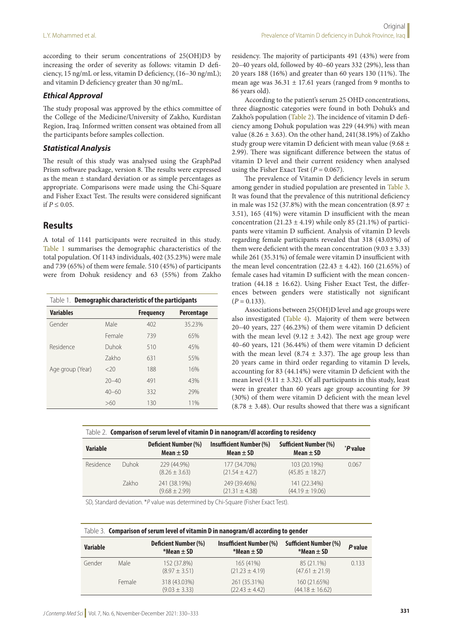according to their serum concentrations of 25(OH)D3 by increasing the order of severity as follows: vitamin D deficiency, 15 ng/mL or less, vitamin D deficiency, (16–30 ng/mL); and vitamin D deficiency greater than 30 ng/mL.

#### *Ethical Approval*

The study proposal was approved by the ethics committee of the College of the Medicine/University of Zakho, Kurdistan Region, Iraq. Informed written consent was obtained from all the participants before samples collection.

## *Statistical Analysis*

The result of this study was analysed using the GraphPad Prism software package, version 8. The results were expressed as the mean ± standard deviation or as simple percentages as appropriate. Comparisons were made using the Chi-Square and Fisher Exact Test. The results were considered significant if  $P \le 0.05$ .

## **Results**

A total of 1141 participants were recruited in this study. Table 1 summarises the demographic characteristics of the total population. Of 1143 individuals, 402 (35.23%) were male and 739 (65%) of them were female. 510 (45%) of participants were from Dohuk residency and 63 (55%) from Zakho

| Table 1. Demographic characteristic of the participants |           |                  |            |  |
|---------------------------------------------------------|-----------|------------------|------------|--|
| <b>Variables</b>                                        |           | <b>Frequency</b> | Percentage |  |
| Gender                                                  | Male      | 402              | 35.23%     |  |
|                                                         | Female    | 739              | 65%        |  |
| Residence                                               | Duhok     | 510              | 45%        |  |
|                                                         | Zakho     | 631              | 55%        |  |
| Age group (Year)                                        | <20       | 188              | 16%        |  |
|                                                         | $20 - 40$ | 491              | 43%        |  |
|                                                         | $40 - 60$ | 332              | 29%        |  |
|                                                         | >60       | 130              | 11%        |  |

residency. The majority of participants 491 (43%) were from 20–40 years old, followed by 40–60 years 332 (29%), less than 20 years 188 (16%) and greater than 60 years 130 (11%). The mean age was  $36.31 \pm 17.61$  years (ranged from 9 months to 86 years old).

According to the patient's serum 25 OHD concentrations, three diagnostic categories were found in both Dohuk's and Zakho's population (Table 2). The incidence of vitamin D deficiency among Dohuk population was 229 (44.9%) with mean value (8.26  $\pm$  3.63). On the other hand, 241(38.19%) of Zakho study group were vitamin D deficient with mean value (9.68 ± 2.99). There was significant difference between the status of vitamin D level and their current residency when analysed using the Fisher Exact Test  $(P = 0.067)$ .

The prevalence of Vitamin D deficiency levels in serum among gender in studied population are presented in Table 3. It was found that the prevalence of this nutritional deficiency in male was 152 (37.8%) with the mean concentration (8.97  $\pm$ 3.51), 165 (41%) were vitamin D insufficient with the mean concentration  $(21.23 \pm 4.19)$  while only 85  $(21.1\%)$  of participants were vitamin D sufficient. Analysis of vitamin D levels regarding female participants revealed that 318 (43.03%) of them were deficient with the mean concentration  $(9.03 \pm 3.33)$ while 261 (35.31%) of female were vitamin D insufficient with the mean level concentration  $(22.43 \pm 4.42)$ . 160  $(21.65\%)$  of female cases had vitamin D sufficient with the mean concentration (44.18  $\pm$  16.62). Using Fisher Exact Test, the differences between genders were statistically not significant  $(P = 0.133)$ .

Associations between 25(OH)D level and age groups were also investigated (Table 4). Majority of them were between 20–40 years, 227 (46.23%) of them were vitamin D deficient with the mean level (9.12  $\pm$  3.42). The next age group were 40–60 years, 121 (36.44%) of them were vitamin D deficient with the mean level (8.74  $\pm$  3.37). The age group less than 20 years came in third order regarding to vitamin D levels, accounting for 83 (44.14%) were vitamin D deficient with the mean level (9.11  $\pm$  3.32). Of all participants in this study, least were in greater than 60 years age group accounting for 39 (30%) of them were vitamin D deficient with the mean level  $(8.78 \pm 3.48)$ . Our results showed that there was a significant

|  |  | Table 2. Comparison of serum level of vitamin D in nanogram/dl according to residency |
|--|--|---------------------------------------------------------------------------------------|
|  |  |                                                                                       |

| Variable  |              | <b>Deficient Number (%)</b><br>Mean $\pm$ SD | Insufficient Number (%)<br>Mean $\pm$ SD | <b>Sufficient Number (%)</b><br>Mean $\pm$ SD | <i>P</i> value |
|-----------|--------------|----------------------------------------------|------------------------------------------|-----------------------------------------------|----------------|
| Residence | <b>Duhok</b> | 229 (44.9%)<br>$(8.26 \pm 3.63)$             | 177 (34.70%)<br>$(21.54 \pm 4.27)$       | 103 (20.19%)<br>$(45.85 \pm 18.27)$           | 0.067          |
|           | 7akho        | 241 (38.19%)<br>$(9.68 \pm 2.99)$            | 249 (39.46%)<br>$(21.31 \pm 4.38)$       | 141 (22.34%)<br>$(44.19 \pm 19.06)$           |                |

SD, Standard deviation. \**P* value was determined by Chi-Square (Fisher Exact Test).

| Table 3. Comparison of serum level of vitamin D in nanogram/dl according to gender |        |                                                  |                                                     |                                                   |         |
|------------------------------------------------------------------------------------|--------|--------------------------------------------------|-----------------------------------------------------|---------------------------------------------------|---------|
| <b>Variable</b>                                                                    |        | <b>Deficient Number (%)</b><br>$*$ Mean $\pm$ SD | <b>Insufficient Number (%)</b><br>$*$ Mean $\pm$ SD | <b>Sufficient Number (%)</b><br>$*$ Mean $\pm$ SD | P value |
| Gender                                                                             | Male   | 152 (37.8%)<br>$(8.97 \pm 3.51)$                 | 165 (41%)<br>$(21.23 \pm 4.19)$                     | 85 (21.1%)<br>$(47.61 \pm 21.9)$                  | 0.133   |
|                                                                                    | Female | 318 (43.03%)<br>$(9.03 \pm 3.33)$                | 261 (35.31%)<br>$(22.43 \pm 4.42)$                  | 160 (21.65%)<br>$(44.18 \pm 16.62)$               |         |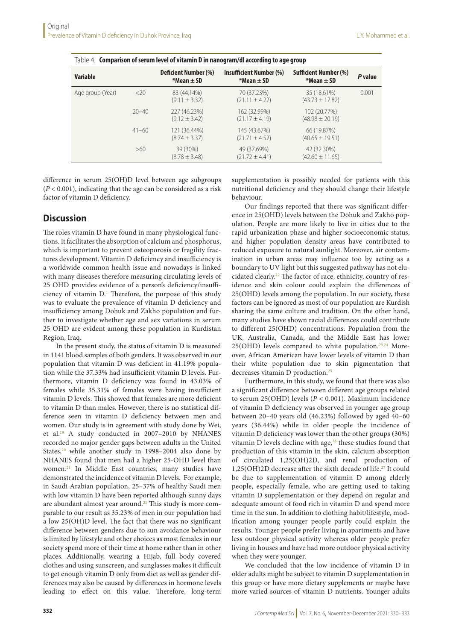| Table 4. $\,$ Comparison of serum level of vitamin D in nanogram/dl according to age group |           |                                                  |                                                     |                                                   |         |  |
|--------------------------------------------------------------------------------------------|-----------|--------------------------------------------------|-----------------------------------------------------|---------------------------------------------------|---------|--|
| <b>Variable</b>                                                                            |           | <b>Deficient Number (%)</b><br>$*$ Mean $\pm$ SD | <b>Insufficient Number (%)</b><br>$*$ Mean $\pm$ SD | <b>Sufficient Number (%)</b><br>$*$ Mean $\pm$ SD | P value |  |
| Age group (Year)                                                                           | <20       | 83 (44.14%)<br>$(9.11 \pm 3.32)$                 | 70 (37.23%)<br>$(21.11 \pm 4.22)$                   | 35 (18.61%)<br>$(43.73 \pm 17.82)$                | 0.001   |  |
|                                                                                            | $20 - 40$ | 227 (46.23%)<br>$(9.12 \pm 3.42)$                | 162 (32.99%)<br>$(21.17 \pm 4.19)$                  | 102 (20.77%)<br>$(48.98 \pm 20.19)$               |         |  |
|                                                                                            | $41 - 60$ | 121 (36.44%)<br>$(8.74 \pm 3.37)$                | 145 (43.67%)<br>$(21.71 \pm 4.52)$                  | 66 (19.87%)<br>$(40.65 \pm 19.51)$                |         |  |
|                                                                                            | >60       | 39 (30%)<br>$(8.78 \pm 3.48)$                    | 49 (37.69%)<br>$(21.72 \pm 4.41)$                   | 42 (32.30%)<br>$(42.60 \pm 11.65)$                |         |  |

difference in serum 25(OH)D level between age subgroups (*P* < 0.001), indicating that the age can be considered as a risk

## **Discussion**

factor of vitamin D deficiency.

The roles vitamin D have found in many physiological functions. It facilitates the absorption of calcium and phosphorus, which is important to prevent osteoporosis or fragility fractures development. Vitamin D deficiency and insufficiency is a worldwide common health issue and nowadays is linked with many diseases therefore measuring circulating levels of 25 OHD provides evidence of a person's deficiency/insufficiency of vitamin D.<sup>1</sup> Therefore, the purpose of this study was to evaluate the prevalence of vitamin D deficiency and insufficiency among Dohuk and Zakho population and further to investigate whether age and sex variations in serum 25 OHD are evident among these population in Kurdistan Region, Iraq.

In the present study, the status of vitamin D is measured in 1141 blood samples of both genders. It was observed in our population that vitamin D was deficient in 41.19% population while the 37.33% had insufficient vitamin D levels. Furthermore, vitamin D deficiency was found in 43.03% of females while 35.31% of females were having insufficient vitamin D levels. This showed that females are more deficient to vitamin D than males. However, there is no statistical difference seen in vitamin D deficiency between men and women. Our study is in agreement with study done by Wei, et al.19 A study conducted in 2007–2010 by NHANES recorded no major gender gaps between adults in the United States,<sup>20</sup> while another study in 1998–2004 also done by NHANES found that men had a higher 25-OHD level than women.21 In Middle East countries, many studies have demonstrated the incidence of vitamin D levels. For example, in Saudi Arabian population, 25–37% of healthy Saudi men with low vitamin D have been reported although sunny days are abundant almost year around.<sup>21</sup> This study is more comparable to our result as 35.23% of men in our population had a low 25(OH)D level. The fact that there was no significant difference between genders due to sun avoidance behaviour is limited by lifestyle and other choices as most females in our society spend more of their time at home rather than in other places. Additionally, wearing a Hijab, full body covered clothes and using sunscreen, and sunglasses makes it difficult to get enough vitamin D only from diet as well as gender differences may also be caused by differences in hormone levels leading to effect on this value. Therefore, long-term

supplementation is possibly needed for patients with this nutritional deficiency and they should change their lifestyle behaviour.

Our findings reported that there was significant difference in 25(OHD) levels between the Dohuk and Zakho population. People are more likely to live in cities due to the rapid urbanization phase and higher socioeconomic status, and higher population density areas have contributed to reduced exposure to natural sunlight. Moreover, air contamination in urban areas may influence too by acting as a boundary to UV light but this suggested pathway has not elucidated clearly.<sup>22</sup> The factor of race, ethnicity, country of residence and skin colour could explain the differences of 25(OHD) levels among the population. In our society, these factors can be ignored as most of our population are Kurdish sharing the same culture and tradition. On the other hand, many studies have shown racial differences could contribute to different 25(OHD) concentrations. Population from the UK, Australia, Canada, and the Middle East has lower  $25(OHD)$  levels compared to white population.<sup>23,24</sup> Moreover, African American have lower levels of vitamin D than their white population due to skin pigmentation that decreases vitamin D production.<sup>25</sup>

Furthermore, in this study, we found that there was also a significant difference between different age groups related to serum 25(OHD) levels (*P* < 0.001). Maximum incidence of vitamin D deficiency was observed in younger age group between 20–40 years old (46.23%) followed by aged 40–60 years (36.44%) while in older people the incidence of vitamin D deficiency was lower than the other groups (30%) vitamin D levels decline with age, $26$  these studies found that production of this vitamin in the skin, calcium absorption of circulated 1,25(OH)2D, and renal production of 1,25(OH)2D decrease after the sixth decade of life.27 It could be due to supplementation of vitamin D among elderly people, especially female, who are getting used to taking vitamin D supplementation or they depend on regular and adequate amount of food rich in vitamin D and spend more time in the sun. In addition to clothing habit/lifestyle, modification among younger people partly could explain the results. Younger people prefer living in apartments and have less outdoor physical activity whereas older people prefer living in houses and have had more outdoor physical activity when they were younger.

We concluded that the low incidence of vitamin D in older adults might be subject to vitamin D supplementation in this group or have more dietary supplements or maybe have more varied sources of vitamin D nutrients. Younger adults